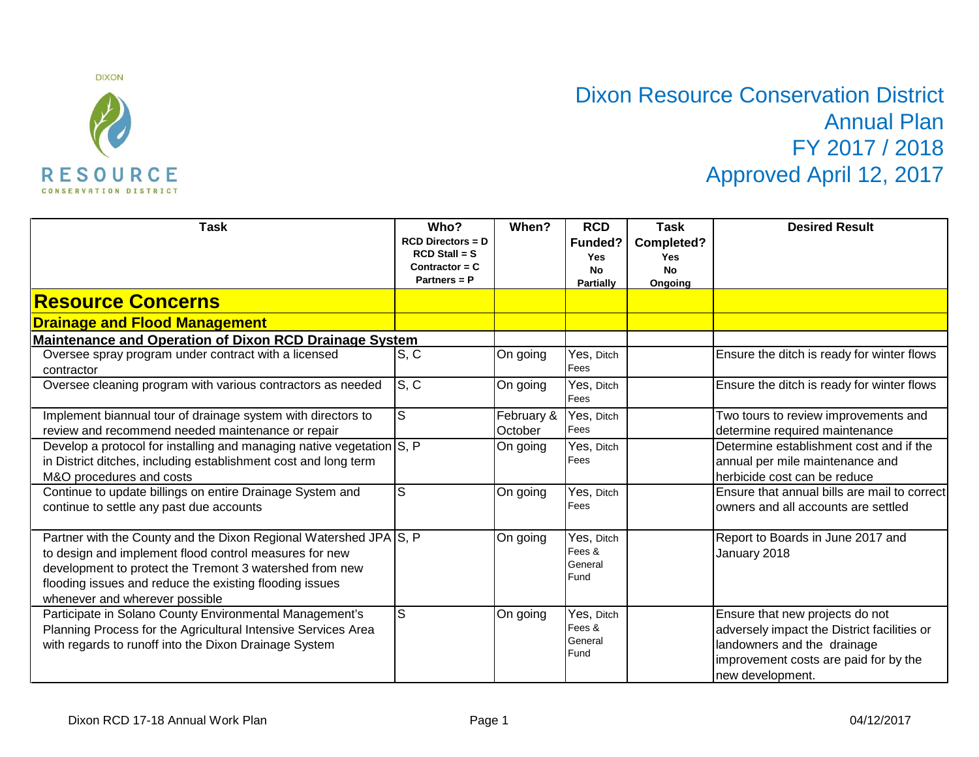

## Dixon Resource Conservation District Annual Plan FY 2017 / 2018 Approved April 12, 2017

| <b>Task</b>                                                                                                                                                                                                                                                                         | Who?<br>$RCD$ Directors = $D$<br>$RCD$ Stall = S<br>Contractor = $C$<br>Partners = P | When?                 | <b>RCD</b><br>Funded?<br><b>Yes</b><br><b>No</b><br><b>Partially</b> | <b>Task</b><br>Completed?<br><b>Yes</b><br><b>No</b><br>Ongoing | <b>Desired Result</b>                                                                                                                                                      |
|-------------------------------------------------------------------------------------------------------------------------------------------------------------------------------------------------------------------------------------------------------------------------------------|--------------------------------------------------------------------------------------|-----------------------|----------------------------------------------------------------------|-----------------------------------------------------------------|----------------------------------------------------------------------------------------------------------------------------------------------------------------------------|
| <b>Resource Concerns</b>                                                                                                                                                                                                                                                            |                                                                                      |                       |                                                                      |                                                                 |                                                                                                                                                                            |
| <b>Drainage and Flood Management</b>                                                                                                                                                                                                                                                |                                                                                      |                       |                                                                      |                                                                 |                                                                                                                                                                            |
| <b>Maintenance and Operation of Dixon RCD Drainage System</b>                                                                                                                                                                                                                       |                                                                                      |                       |                                                                      |                                                                 |                                                                                                                                                                            |
| Oversee spray program under contract with a licensed<br>contractor                                                                                                                                                                                                                  | S, C                                                                                 | On going              | Yes, Ditch<br>Fees                                                   |                                                                 | Ensure the ditch is ready for winter flows                                                                                                                                 |
| Oversee cleaning program with various contractors as needed                                                                                                                                                                                                                         | S, C                                                                                 | On going              | Yes, Ditch<br>Fees                                                   |                                                                 | Ensure the ditch is ready for winter flows                                                                                                                                 |
| Implement biannual tour of drainage system with directors to<br>review and recommend needed maintenance or repair                                                                                                                                                                   | $\mathsf S$                                                                          | February &<br>October | Yes, Ditch<br>Fees                                                   |                                                                 | Two tours to review improvements and<br>determine required maintenance                                                                                                     |
| Develop a protocol for installing and managing native vegetation S, P<br>in District ditches, including establishment cost and long term<br>M&O procedures and costs                                                                                                                |                                                                                      | On going              | Yes, Ditch<br>Fees                                                   |                                                                 | Determine establishment cost and if the<br>annual per mile maintenance and<br>herbicide cost can be reduce                                                                 |
| Continue to update billings on entire Drainage System and<br>continue to settle any past due accounts                                                                                                                                                                               | S                                                                                    | On going              | Yes, Ditch<br>Fees                                                   |                                                                 | Ensure that annual bills are mail to correct<br>owners and all accounts are settled                                                                                        |
| Partner with the County and the Dixon Regional Watershed JPA S, P<br>to design and implement flood control measures for new<br>development to protect the Tremont 3 watershed from new<br>flooding issues and reduce the existing flooding issues<br>whenever and wherever possible |                                                                                      | On going              | Yes, Ditch<br>Fees &<br>General<br>Fund                              |                                                                 | Report to Boards in June 2017 and<br>January 2018                                                                                                                          |
| Participate in Solano County Environmental Management's<br>Planning Process for the Agricultural Intensive Services Area<br>with regards to runoff into the Dixon Drainage System                                                                                                   | S                                                                                    | On going              | Yes, Ditch<br>Fees &<br>General<br>Fund                              |                                                                 | Ensure that new projects do not<br>adversely impact the District facilities or<br>landowners and the drainage<br>improvement costs are paid for by the<br>new development. |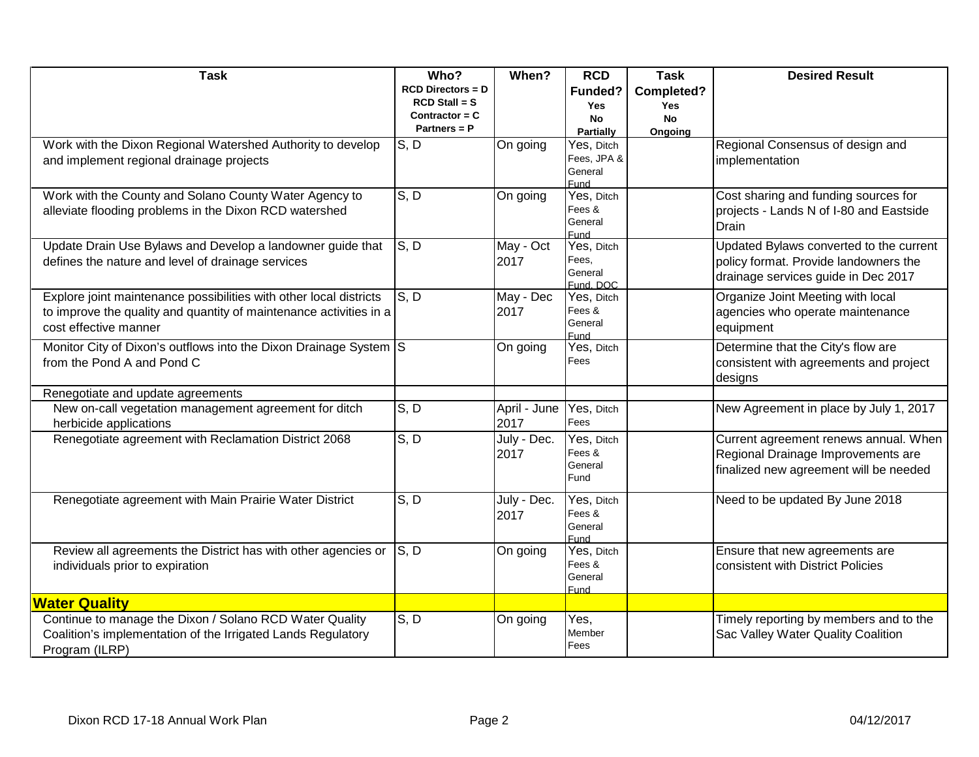| <b>Task</b>                                                                                                      | Who?                               | When?        | <b>RCD</b>                    | <b>Task</b>   | <b>Desired Result</b>                                                           |
|------------------------------------------------------------------------------------------------------------------|------------------------------------|--------------|-------------------------------|---------------|---------------------------------------------------------------------------------|
|                                                                                                                  | $RCD$ Directors = $D$              |              | Funded?                       | Completed?    |                                                                                 |
|                                                                                                                  | $RCD$ Stall = S                    |              | <b>Yes</b>                    | <b>Yes</b>    |                                                                                 |
|                                                                                                                  | Contractor = $C$<br>Partners = $P$ |              | <b>No</b><br><b>Partially</b> | No<br>Ongoing |                                                                                 |
| Work with the Dixon Regional Watershed Authority to develop                                                      | S, D                               | On going     | Yes, Ditch                    |               | Regional Consensus of design and                                                |
| and implement regional drainage projects                                                                         |                                    |              | Fees, JPA &                   |               | implementation                                                                  |
|                                                                                                                  |                                    |              | General                       |               |                                                                                 |
|                                                                                                                  | S, D                               |              | Fund                          |               |                                                                                 |
| Work with the County and Solano County Water Agency to<br>alleviate flooding problems in the Dixon RCD watershed |                                    | On going     | Yes, Ditch<br>Fees &          |               | Cost sharing and funding sources for<br>projects - Lands N of I-80 and Eastside |
|                                                                                                                  |                                    |              | General                       |               | Drain                                                                           |
|                                                                                                                  |                                    |              | Fund                          |               |                                                                                 |
| Update Drain Use Bylaws and Develop a landowner guide that                                                       | S, D                               | May - Oct    | Yes, Ditch                    |               | Updated Bylaws converted to the current                                         |
| defines the nature and level of drainage services                                                                |                                    | 2017         | Fees,<br>General              |               | policy format. Provide landowners the                                           |
|                                                                                                                  |                                    |              | Fund, DOC                     |               | drainage services guide in Dec 2017                                             |
| Explore joint maintenance possibilities with other local districts                                               | S.D                                | May - Dec    | Yes, Ditch                    |               | Organize Joint Meeting with local                                               |
| to improve the quality and quantity of maintenance activities in a                                               |                                    | 2017         | Fees &                        |               | agencies who operate maintenance                                                |
| cost effective manner                                                                                            |                                    |              | General                       |               | equipment                                                                       |
| Monitor City of Dixon's outflows into the Dixon Drainage System S                                                |                                    | On going     | Fund<br>Yes, Ditch            |               | Determine that the City's flow are                                              |
| from the Pond A and Pond C                                                                                       |                                    |              | Fees                          |               | consistent with agreements and project                                          |
|                                                                                                                  |                                    |              |                               |               | designs                                                                         |
| Renegotiate and update agreements                                                                                |                                    |              |                               |               |                                                                                 |
| New on-call vegetation management agreement for ditch                                                            | S, D                               | April - June | Yes, Ditch                    |               | New Agreement in place by July 1, 2017                                          |
| herbicide applications                                                                                           |                                    | 2017         | Fees                          |               |                                                                                 |
| Renegotiate agreement with Reclamation District 2068                                                             | S, D                               | July - Dec.  | Yes, Ditch                    |               | Current agreement renews annual. When                                           |
|                                                                                                                  |                                    | 2017         | Fees &                        |               | Regional Drainage Improvements are                                              |
|                                                                                                                  |                                    |              | General                       |               | finalized new agreement will be needed                                          |
|                                                                                                                  |                                    |              | Fund                          |               |                                                                                 |
| Renegotiate agreement with Main Prairie Water District                                                           | S, D                               | July - Dec.  | Yes, Ditch                    |               | Need to be updated By June 2018                                                 |
|                                                                                                                  |                                    | 2017         | Fees &                        |               |                                                                                 |
|                                                                                                                  |                                    |              | General<br>Fund               |               |                                                                                 |
| Review all agreements the District has with other agencies or                                                    | $\mathsf{S}, \mathsf{D}$           | On going     | Yes, Ditch                    |               | Ensure that new agreements are                                                  |
| individuals prior to expiration                                                                                  |                                    |              | Fees &                        |               | consistent with District Policies                                               |
|                                                                                                                  |                                    |              | General                       |               |                                                                                 |
| <b>Water Quality</b>                                                                                             |                                    |              | Fund                          |               |                                                                                 |
| Continue to manage the Dixon / Solano RCD Water Quality                                                          | S, D                               | On going     | Yes,                          |               | Timely reporting by members and to the                                          |
| Coalition's implementation of the Irrigated Lands Regulatory                                                     |                                    |              | Member                        |               | Sac Valley Water Quality Coalition                                              |
| Program (ILRP)                                                                                                   |                                    |              | Fees                          |               |                                                                                 |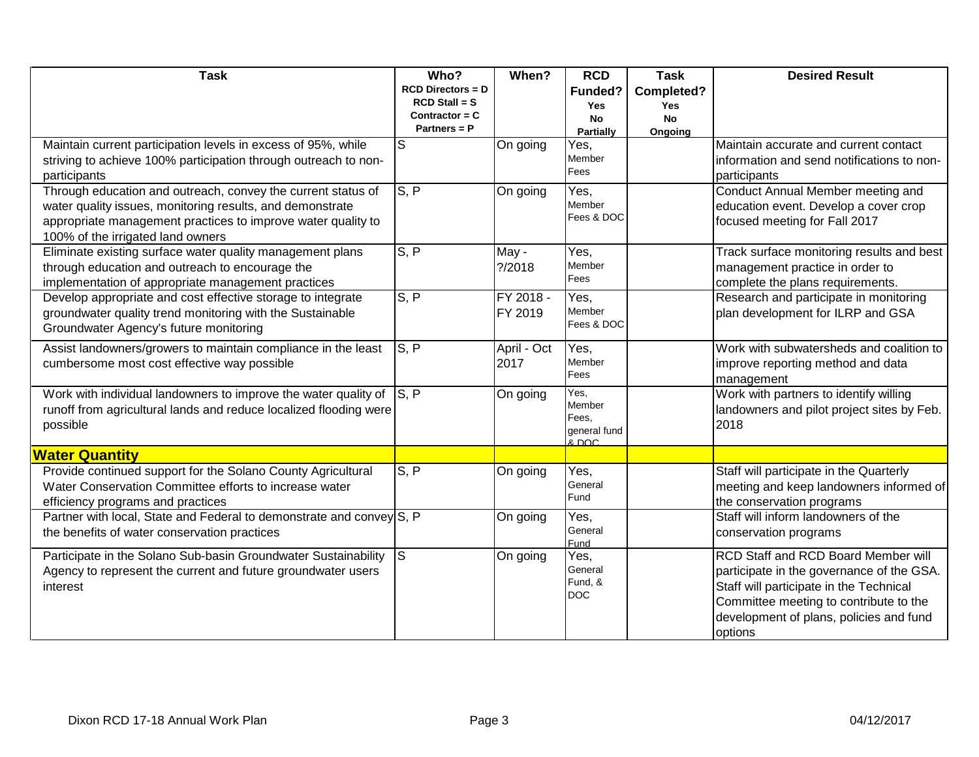| <b>Task</b>                                                                                                                                                                                                                    | Who?                                                                              | When?                | <b>RCD</b>                                             | <b>Task</b>                                      | <b>Desired Result</b>                                                                                                                                                                                                       |
|--------------------------------------------------------------------------------------------------------------------------------------------------------------------------------------------------------------------------------|-----------------------------------------------------------------------------------|----------------------|--------------------------------------------------------|--------------------------------------------------|-----------------------------------------------------------------------------------------------------------------------------------------------------------------------------------------------------------------------------|
|                                                                                                                                                                                                                                | <b>RCD Directors = D</b><br>$RCD$ Stall = S<br>Contractor = $C$<br>Partners = $P$ |                      | Funded?<br><b>Yes</b><br><b>No</b><br><b>Partially</b> | Completed?<br><b>Yes</b><br><b>No</b><br>Ongoing |                                                                                                                                                                                                                             |
| Maintain current participation levels in excess of 95%, while<br>striving to achieve 100% participation through outreach to non-<br>participants                                                                               | ls                                                                                | On going             | Yes,<br>Member<br>Fees                                 |                                                  | Maintain accurate and current contact<br>information and send notifications to non-<br>participants                                                                                                                         |
| Through education and outreach, convey the current status of<br>water quality issues, monitoring results, and demonstrate<br>appropriate management practices to improve water quality to<br>100% of the irrigated land owners | S, P                                                                              | On going             | Yes,<br>Member<br>Fees & DOC                           |                                                  | Conduct Annual Member meeting and<br>education event. Develop a cover crop<br>focused meeting for Fall 2017                                                                                                                 |
| Eliminate existing surface water quality management plans<br>through education and outreach to encourage the<br>implementation of appropriate management practices                                                             | S, P                                                                              | May -<br>? / 2018    | Yes,<br>Member<br>Fees                                 |                                                  | Track surface monitoring results and best<br>management practice in order to<br>complete the plans requirements.                                                                                                            |
| Develop appropriate and cost effective storage to integrate<br>groundwater quality trend monitoring with the Sustainable<br>Groundwater Agency's future monitoring                                                             | S, P                                                                              | FY 2018 -<br>FY 2019 | Yes,<br>Member<br>Fees & DOC                           |                                                  | Research and participate in monitoring<br>plan development for ILRP and GSA                                                                                                                                                 |
| Assist landowners/growers to maintain compliance in the least<br>cumbersome most cost effective way possible                                                                                                                   | $\overline{S}$ , $\overline{P}$                                                   | April - Oct<br>2017  | Yes,<br>Member<br>Fees                                 |                                                  | Work with subwatersheds and coalition to<br>improve reporting method and data<br>management                                                                                                                                 |
| Work with individual landowners to improve the water quality of $\left S\right $ , P<br>runoff from agricultural lands and reduce localized flooding were<br>possible                                                          |                                                                                   | On going             | Yes,<br>Member<br>Fees,<br>general fund<br>& DOC       |                                                  | Work with partners to identify willing<br>landowners and pilot project sites by Feb.<br>2018                                                                                                                                |
| <b>Water Quantity</b>                                                                                                                                                                                                          |                                                                                   |                      |                                                        |                                                  |                                                                                                                                                                                                                             |
| Provide continued support for the Solano County Agricultural<br>Water Conservation Committee efforts to increase water<br>efficiency programs and practices                                                                    | S, P                                                                              | On going             | Yes,<br>General<br>Fund                                |                                                  | Staff will participate in the Quarterly<br>meeting and keep landowners informed of<br>the conservation programs                                                                                                             |
| Partner with local, State and Federal to demonstrate and convey S, P<br>the benefits of water conservation practices                                                                                                           |                                                                                   | On going             | Yes,<br>General<br>Fund                                |                                                  | Staff will inform landowners of the<br>conservation programs                                                                                                                                                                |
| Participate in the Solano Sub-basin Groundwater Sustainability<br>Agency to represent the current and future groundwater users<br>interest                                                                                     | ls.                                                                               | On going             | Yes,<br>General<br>Fund, &<br><b>DOC</b>               |                                                  | RCD Staff and RCD Board Member will<br>participate in the governance of the GSA.<br>Staff will participate in the Technical<br>Committee meeting to contribute to the<br>development of plans, policies and fund<br>options |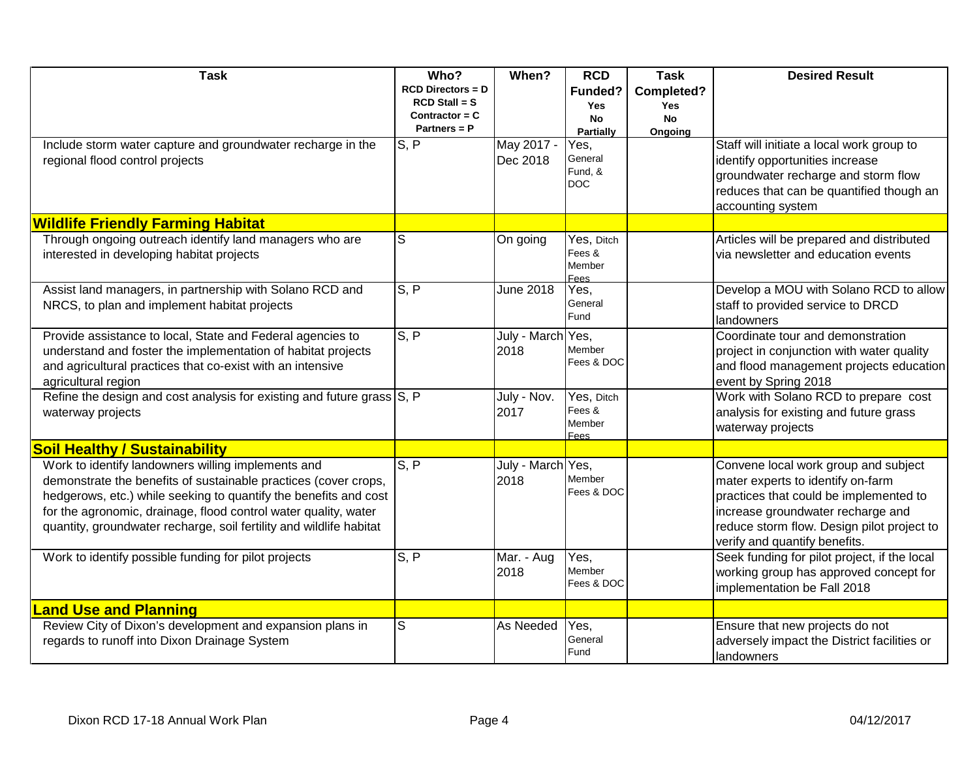| <b>Task</b>                                                                                                                                                                                                                                                                                                                         | Who?                                                                           | When?                     | <b>RCD</b>                                             | <b>Task</b>                                      | <b>Desired Result</b>                                                                                                                                                                                                                   |
|-------------------------------------------------------------------------------------------------------------------------------------------------------------------------------------------------------------------------------------------------------------------------------------------------------------------------------------|--------------------------------------------------------------------------------|---------------------------|--------------------------------------------------------|--------------------------------------------------|-----------------------------------------------------------------------------------------------------------------------------------------------------------------------------------------------------------------------------------------|
|                                                                                                                                                                                                                                                                                                                                     | $RCD$ Directors = $D$<br>$RCD$ Stall = S<br>Contractor = $C$<br>Partners = $P$ |                           | Funded?<br><b>Yes</b><br><b>No</b><br><b>Partially</b> | Completed?<br><b>Yes</b><br><b>No</b><br>Ongoing |                                                                                                                                                                                                                                         |
| Include storm water capture and groundwater recharge in the<br>regional flood control projects                                                                                                                                                                                                                                      | S, P                                                                           | May 2017 -<br>Dec 2018    | Yes,<br>General<br>Fund, &<br><b>DOC</b>               |                                                  | Staff will initiate a local work group to<br>identify opportunities increase<br>groundwater recharge and storm flow<br>reduces that can be quantified though an<br>accounting system                                                    |
| <b>Wildlife Friendly Farming Habitat</b>                                                                                                                                                                                                                                                                                            |                                                                                |                           |                                                        |                                                  |                                                                                                                                                                                                                                         |
| Through ongoing outreach identify land managers who are<br>interested in developing habitat projects                                                                                                                                                                                                                                | S                                                                              | On going                  | Yes, Ditch<br>Fees &<br>Member<br>Fees                 |                                                  | Articles will be prepared and distributed<br>via newsletter and education events                                                                                                                                                        |
| Assist land managers, in partnership with Solano RCD and<br>NRCS, to plan and implement habitat projects                                                                                                                                                                                                                            | S.P                                                                            | June 2018                 | Yes.<br>General<br>Fund                                |                                                  | Develop a MOU with Solano RCD to allow<br>staff to provided service to DRCD<br>landowners                                                                                                                                               |
| Provide assistance to local, State and Federal agencies to<br>understand and foster the implementation of habitat projects<br>and agricultural practices that co-exist with an intensive<br>agricultural region                                                                                                                     | S, P                                                                           | July - March Yes,<br>2018 | Member<br>Fees & DOC                                   |                                                  | Coordinate tour and demonstration<br>project in conjunction with water quality<br>and flood management projects education<br>event by Spring 2018                                                                                       |
| Refine the design and cost analysis for existing and future grass S, P<br>waterway projects                                                                                                                                                                                                                                         |                                                                                | July - Nov.<br>2017       | Yes, Ditch<br>Fees &<br>Member<br>Fees                 |                                                  | Work with Solano RCD to prepare cost<br>analysis for existing and future grass<br>waterway projects                                                                                                                                     |
| <b>Soil Healthy / Sustainability</b>                                                                                                                                                                                                                                                                                                |                                                                                |                           |                                                        |                                                  |                                                                                                                                                                                                                                         |
| Work to identify landowners willing implements and<br>demonstrate the benefits of sustainable practices (cover crops,<br>hedgerows, etc.) while seeking to quantify the benefits and cost<br>for the agronomic, drainage, flood control water quality, water<br>quantity, groundwater recharge, soil fertility and wildlife habitat | S, P                                                                           | July - March Yes,<br>2018 | Member<br>Fees & DOC                                   |                                                  | Convene local work group and subject<br>mater experts to identify on-farm<br>practices that could be implemented to<br>increase groundwater recharge and<br>reduce storm flow. Design pilot project to<br>verify and quantify benefits. |
| Work to identify possible funding for pilot projects                                                                                                                                                                                                                                                                                | S, P                                                                           | Mar. - Aug<br>2018        | Yes,<br>Member<br>Fees & DOC                           |                                                  | Seek funding for pilot project, if the local<br>working group has approved concept for<br>implementation be Fall 2018                                                                                                                   |
| <b>Land Use and Planning</b>                                                                                                                                                                                                                                                                                                        |                                                                                |                           |                                                        |                                                  |                                                                                                                                                                                                                                         |
| Review City of Dixon's development and expansion plans in<br>regards to runoff into Dixon Drainage System                                                                                                                                                                                                                           | S                                                                              | As Needed                 | Yes.<br>General<br>Fund                                |                                                  | Ensure that new projects do not<br>adversely impact the District facilities or<br>landowners                                                                                                                                            |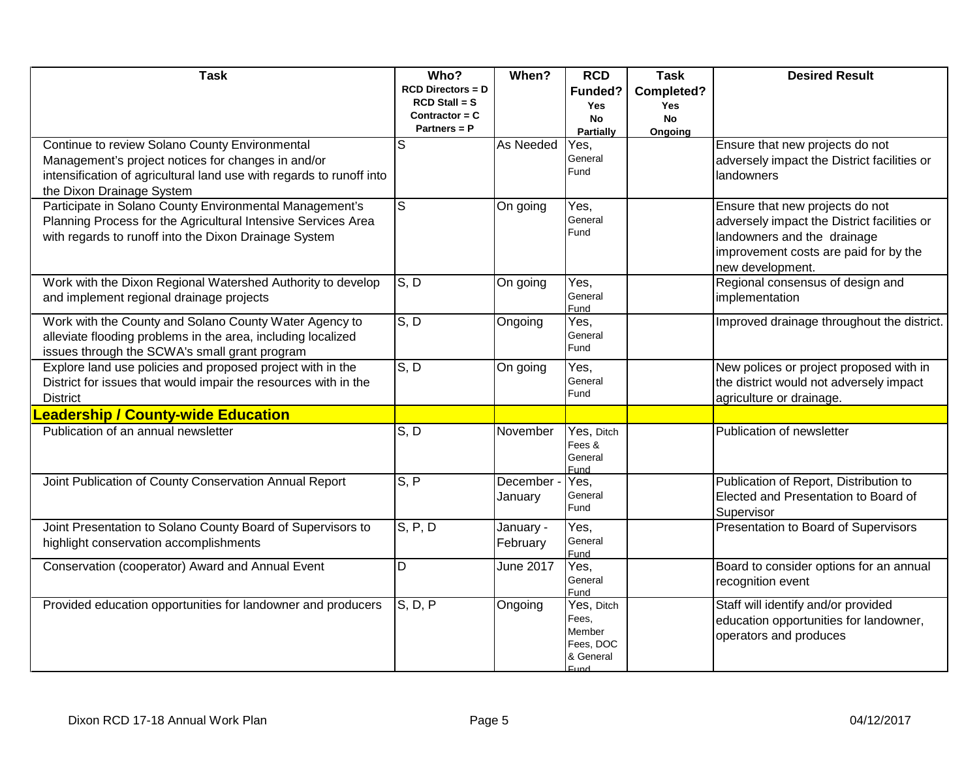| <b>Task</b>                                                                                       | Who?                                     | When?            | <b>RCD</b>            | <b>Task</b>       | <b>Desired Result</b>                              |
|---------------------------------------------------------------------------------------------------|------------------------------------------|------------------|-----------------------|-------------------|----------------------------------------------------|
|                                                                                                   | $RCD$ Directors = $D$<br>$RCD$ Stall = S |                  | Funded?<br><b>Yes</b> | Completed?<br>Yes |                                                    |
|                                                                                                   | Contractor = $C$                         |                  | <b>No</b>             | <b>No</b>         |                                                    |
|                                                                                                   | Partners = $P$                           |                  | Partially             | Ongoing           |                                                    |
| Continue to review Solano County Environmental                                                    | S                                        | As Needed        | Yes,                  |                   | Ensure that new projects do not                    |
| Management's project notices for changes in and/or                                                |                                          |                  | General<br>Fund       |                   | adversely impact the District facilities or        |
| intensification of agricultural land use with regards to runoff into<br>the Dixon Drainage System |                                          |                  |                       |                   | landowners                                         |
| Participate in Solano County Environmental Management's                                           | $\overline{\mathsf{s}}$                  | On going         | Yes,                  |                   | Ensure that new projects do not                    |
| Planning Process for the Agricultural Intensive Services Area                                     |                                          |                  | General               |                   | adversely impact the District facilities or        |
| with regards to runoff into the Dixon Drainage System                                             |                                          |                  | Fund                  |                   | landowners and the drainage                        |
|                                                                                                   |                                          |                  |                       |                   | improvement costs are paid for by the              |
|                                                                                                   |                                          |                  |                       |                   | new development.                                   |
| Work with the Dixon Regional Watershed Authority to develop                                       | S, D                                     | On going         | Yes.                  |                   | Regional consensus of design and                   |
| and implement regional drainage projects                                                          |                                          |                  | General<br>Fund       |                   | implementation                                     |
| Work with the County and Solano County Water Agency to                                            | S, D                                     | Ongoing          | Yes,                  |                   | Improved drainage throughout the district.         |
| alleviate flooding problems in the area, including localized                                      |                                          |                  | General               |                   |                                                    |
| issues through the SCWA's small grant program                                                     |                                          |                  | Fund                  |                   |                                                    |
| Explore land use policies and proposed project with in the                                        | S, D                                     | On going         | Yes.                  |                   | New polices or project proposed with in            |
| District for issues that would impair the resources with in the                                   |                                          |                  | General<br>Fund       |                   | the district would not adversely impact            |
| <b>District</b>                                                                                   |                                          |                  |                       |                   | agriculture or drainage.                           |
| eadership / County-wide Education                                                                 |                                          |                  |                       |                   |                                                    |
| Publication of an annual newsletter                                                               | S, D                                     | November         | Yes, Ditch<br>Fees &  |                   | Publication of newsletter                          |
|                                                                                                   |                                          |                  | General               |                   |                                                    |
|                                                                                                   |                                          |                  | Fund                  |                   |                                                    |
| Joint Publication of County Conservation Annual Report                                            | S, P                                     | December -       | Yes,<br>General       |                   | Publication of Report, Distribution to             |
|                                                                                                   |                                          | January          | Fund                  |                   | Elected and Presentation to Board of               |
| Joint Presentation to Solano County Board of Supervisors to                                       | S, P, D                                  | January -        | Yes,                  |                   | Supervisor<br>Presentation to Board of Supervisors |
| highlight conservation accomplishments                                                            |                                          | February         | General               |                   |                                                    |
|                                                                                                   |                                          |                  | Fund                  |                   |                                                    |
| Conservation (cooperator) Award and Annual Event                                                  | $\overline{D}$                           | <b>June 2017</b> | Yes.                  |                   | Board to consider options for an annual            |
|                                                                                                   |                                          |                  | General<br>Fund       |                   | recognition event                                  |
| Provided education opportunities for landowner and producers                                      | S, D, P                                  | Ongoing          | Yes, Ditch            |                   | Staff will identify and/or provided                |
|                                                                                                   |                                          |                  | Fees.<br>Member       |                   | education opportunities for landowner,             |
|                                                                                                   |                                          |                  | Fees, DOC             |                   | operators and produces                             |
|                                                                                                   |                                          |                  | & General             |                   |                                                    |
|                                                                                                   |                                          |                  | <b>Fund</b>           |                   |                                                    |